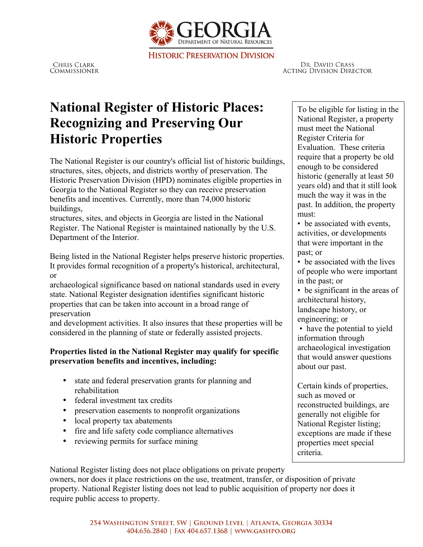

**HISTORIC PRESERVATION DIVISION** 

**CHRIS CLARK** COMMISSIONER

DR. DAVID CRASS **ACTING DIVISION DIRECTOR** 

## **National Register of Historic Places: Recognizing and Preserving Our Historic Properties**

The National Register is our country's official list of historic buildings, structures, sites, objects, and districts worthy of preservation. The Historic Preservation Division (HPD) nominates eligible properties in Georgia to the National Register so they can receive preservation benefits and incentives. Currently, more than 74,000 historic buildings,

structures, sites, and objects in Georgia are listed in the National Register. The National Register is maintained nationally by the U.S. Department of the Interior.

Being listed in the National Register helps preserve historic properties. It provides formal recognition of a property's historical, architectural, or

archaeological significance based on national standards used in every state. National Register designation identifies significant historic properties that can be taken into account in a broad range of preservation

and development activities. It also insures that these properties will be considered in the planning of state or federally assisted projects.

## **Properties listed in the National Register may qualify for specific preservation benefits and incentives, including:**

- state and federal preservation grants for planning and rehabilitation
- federal investment tax credits
- preservation easements to nonprofit organizations
- local property tax abatements
- fire and life safety code compliance alternatives
- reviewing permits for surface mining

To be eligible for listing in the National Register, a property must meet the National Register Criteria for Evaluation. These criteria require that a property be old enough to be considered historic (generally at least 50 years old) and that it still look much the way it was in the past. In addition, the property must:

• be associated with events, activities, or developments that were important in the past; or

• be associated with the lives of people who were important in the past; or

• be significant in the areas of architectural history, landscape history, or

engineering; or

• have the potential to yield information through archaeological investigation that would answer questions about our past.

Certain kinds of properties, such as moved or reconstructed buildings, are generally not eligible for National Register listing; exceptions are made if these properties meet special criteria.

National Register listing does not place obligations on private property owners, nor does it place restrictions on the use, treatment, transfer, or disposition of private property. National Register listing does not lead to public acquisition of property nor does it require public access to property.